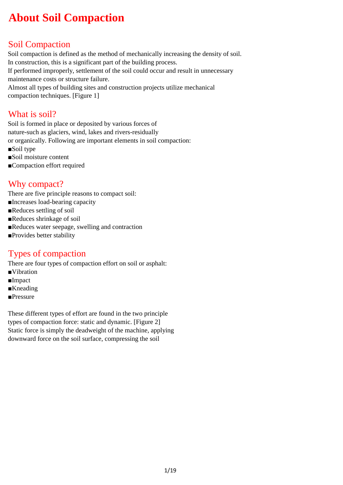# **About Soil Compaction**

# Soil Compaction

Soil compaction is defined as the method of mechanically increasing the density of soil. In construction, this is a significant part of the building process. If performed improperly, settlement of the soil could occur and result in unnecessary maintenance costs or structure failure. Almost all types of building sites and construction projects utilize mechanical compaction techniques. [Figure 1]

#### What is soil?

Soil is formed in place or deposited by various forces of nature-such as glaciers, wind, lakes and rivers-residually or organically. Following are important elements in soil compaction:

- ■Soil type
- ■Soil moisture content
- ■Compaction effort required

#### Why compact?

There are five principle reasons to compact soil:

- ■Increases load-bearing capacity
- ■Reduces settling of soil
- ■Reduces shrinkage of soil
- ■Reduces water seepage, swelling and contraction
- ■Provides better stability

#### Types of compaction

There are four types of compaction effort on soil or asphalt:

- ■Vibration
- ■Impact
- ■Kneading
- ■Pressure

These different types of effort are found in the two principle types of compaction force: static and dynamic. [Figure 2] Static force is simply the deadweight of the machine, applying downward force on the soil surface, compressing the soil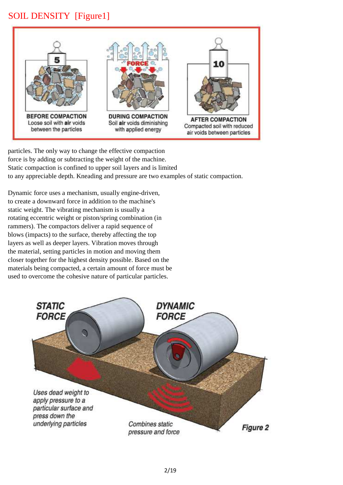## SOIL DENSITY [Figure1]



particles. The only way to change the effective compaction force is by adding or subtracting the weight of the machine. Static compaction is confined to upper soil layers and is limited to any appreciable depth. Kneading and pressure are two examples of static compaction.

Dynamic force uses a mechanism, usually engine-driven, to create a downward force in addition to the machine's static weight. The vibrating mechanism is usually a rotating eccentric weight or piston/spring combination (in rammers). The compactors deliver a rapid sequence of blows (impacts) to the surface, thereby affecting the top layers as well as deeper layers. Vibration moves through the material, setting particles in motion and moving them closer together for the highest density possible. Based on the materials being compacted, a certain amount of force must be used to overcome the cohesive nature of particular particles.

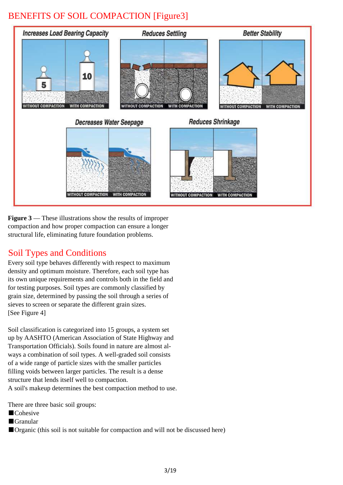# BENEFITS OF SOIL COMPACTION [Figure3]



**Figure 3** — These illustrations show the results of improper compaction and how proper compaction can ensure a longer structural life, eliminating future foundation problems.

#### Soil Types and Conditions

Every soil type behaves differently with respect to maximum density and optimum moisture. Therefore, each soil type has its own unique requirements and controls both in the field and for testing purposes. Soil types are commonly classified by grain size, determined by passing the soil through a series of sieves to screen or separate the different grain sizes. [See Figure 4]

Soil classification is categorized into 15 groups, a system set up by AASHTO (American Association of State Highway and Transportation Officials). Soils found in nature are almost always a combination of soil types. A well-graded soil consists of a wide range of particle sizes with the smaller particles filling voids between larger particles. The result is a dense structure that lends itself well to compaction. A soil's makeup determines the best compaction method to use.

There are three basic soil groups:

- ■Cohesive
- ■Granular
- ■Organic (this soil is not suitable for compaction and will not be discussed here)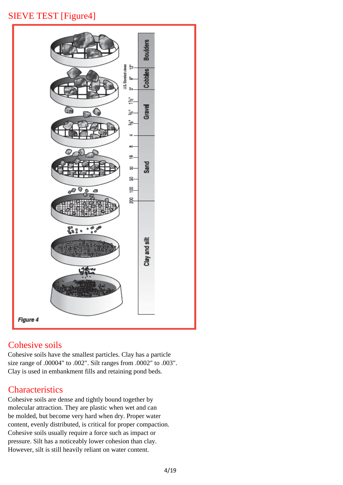# SIEVE TEST [Figure4]



#### Cohesive soils

Cohesive soils have the smallest particles. Clay has a particle size range of .00004" to .002". Silt ranges from .0002" to .003". Clay is used in embankment fills and retaining pond beds.

# **Characteristics**

Cohesive soils are dense and tightly bound together by molecular attraction. They are plastic when wet and can be molded, but become very hard when dry. Proper water content, evenly distributed, is critical for proper compaction. Cohesive soils usually require a force such as impact or pressure. Silt has a noticeably lower cohesion than clay. However, silt is still heavily reliant on water content.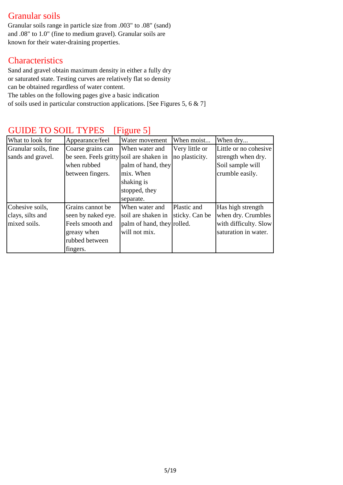### Granular soils

Granular soils range in particle size from .003" to .08" (sand) and .08" to 1.0" (fine to medium gravel). Granular soils are known for their water-draining properties.

#### **Characteristics**

Sand and gravel obtain maximum density in either a fully dry or saturated state. Testing curves are relatively flat so density can be obtained regardless of water content. The tables on the following pages give a basic indication

of soils used in particular construction applications. [See Figures 5, 6 & 7]

| What to look for<br>Appearance/feel |                                          | Water movement             | When moist     | When dry              |
|-------------------------------------|------------------------------------------|----------------------------|----------------|-----------------------|
| Granular soils, fine                | Coarse grains can                        | When water and             | Very little or | Little or no cohesive |
| sands and gravel.                   | be seen. Feels gritty soil are shaken in |                            | no plasticity. | strength when dry.    |
|                                     | when rubbed                              | palm of hand, they         |                | Soil sample will      |
|                                     | between fingers.                         | mix. When                  |                | crumble easily.       |
|                                     |                                          | shaking is                 |                |                       |
|                                     |                                          | stopped, they              |                |                       |
|                                     |                                          | separate.                  |                |                       |
| Cohesive soils,                     | Grains cannot be                         | When water and             | Plastic and    | Has high strength     |
| clays, silts and                    | seen by naked eye.                       | soil are shaken in         | sticky. Can be | when dry. Crumbles    |
| mixed soils.                        | Feels smooth and                         | palm of hand, they rolled. |                | with difficulty. Slow |
|                                     | greasy when                              | will not mix.              |                | saturation in water.  |
|                                     | rubbed between                           |                            |                |                       |
|                                     | fingers.                                 |                            |                |                       |

#### GUIDE TO SOIL TYPES [Figure 5]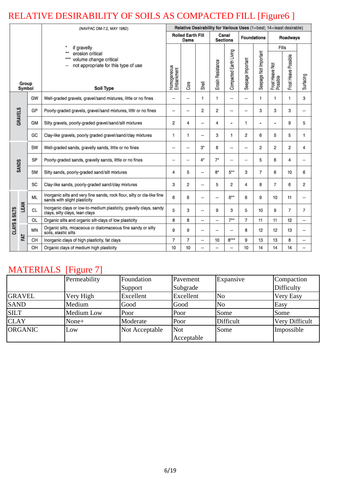# RELATIVE DESIRABILITY OF SOILS AS COMPACTED FILL [Figure6 ]

|                                                                                                                                              |                                                            |                                  | (NAVFAC DM-7.2, MAY 1982)                                                                               | Relative Desirability for Various Uses (1=best; 14=least desirable) |                |                    |                          |                          |                   |                          |                             |                      |                |
|----------------------------------------------------------------------------------------------------------------------------------------------|------------------------------------------------------------|----------------------------------|---------------------------------------------------------------------------------------------------------|---------------------------------------------------------------------|----------------|--------------------|--------------------------|--------------------------|-------------------|--------------------------|-----------------------------|----------------------|----------------|
|                                                                                                                                              |                                                            | <b>Rolled Earth Fill</b><br>Dams |                                                                                                         | Canal<br><b>Sections</b>                                            |                | <b>Foundations</b> |                          | Roadways                 |                   |                          |                             |                      |                |
| if gravelly<br>erosion critical<br>***<br>Group<br>Symbol                                                                                    |                                                            |                                  |                                                                                                         |                                                                     |                |                    |                          |                          |                   |                          | Fills                       |                      |                |
|                                                                                                                                              |                                                            |                                  | volume change critical<br>not appropriate for this type of use<br>Soil Type                             |                                                                     | Core           | Shell              | Erosin Resistance        | Compacted Earth Living   | Seepage Important | Seepage Not Important    | Frost Heave Not<br>Possible | Frost Heave Possible | Surfacing      |
|                                                                                                                                              |                                                            | GW                               | Well-graded gravels, gravel/sand mistures, little or no fines                                           | ۰.                                                                  | ۰.             | 1                  | 1                        | ۰.                       | ۰.                | 1                        | 1                           | 1                    | 3              |
| <b>GRAVELS</b>                                                                                                                               |                                                            | GP                               | Poorly-graded gravels, gravel/sand mixtures, littlr or no fines                                         | --                                                                  | --             | 2                  | 2                        | --                       |                   | 3                        | 3                           | 3                    | --             |
|                                                                                                                                              |                                                            | GM                               | Silty gravels, poorly-graded gravel/sand/silt mixtures                                                  | 2                                                                   | 4              | --                 | 4                        | $\overline{\phantom{0}}$ | 1                 | $\overline{\phantom{a}}$ | $\blacksquare$              | 9                    | 5              |
|                                                                                                                                              |                                                            | GC                               | Clay-like gravels, poorly graded gravel/sand/clay mixtures                                              |                                                                     | 1              | ۰.                 | 3                        | 1                        | 2                 | 6                        | 5                           | 5                    | 1              |
| SW<br>Well-graded sands, gravelly sands, little or no fines<br>SP<br>Poorly-graded sands, gravelly sands, little or no fines<br><b>SANDS</b> |                                                            | ٠.                               | ۰.                                                                                                      | $3^*$                                                               | 6              | ۰.                 | ۰.                       | 2                        | 2                 | 2                        | 4                           |                      |                |
|                                                                                                                                              |                                                            |                                  |                                                                                                         |                                                                     | $\overline{a}$ | 4*                 | $7*$                     | $\sim$                   | $\sim$            | 5                        | 6                           | 4                    | $\overline{a}$ |
|                                                                                                                                              | <b>SM</b><br>Silty sands, poorly-graded sand/silt mixtures |                                  | 4                                                                                                       | 5                                                                   | ۰.             | $8*$               | $5***$                   | 3                        | 7                 | 6                        | 10                          | 6                    |                |
|                                                                                                                                              | SC<br>Clay-like sands, poorly-graded sand/clay mixtures    |                                  | 3                                                                                                       | 2                                                                   | ۰.             | 5                  | 2                        | 4                        | 8                 | $\overline{7}$           | 6                           | 2                    |                |
|                                                                                                                                              |                                                            | ML                               | Inorganic silts and very fine sands, rock flour, silty or cla-like fine<br>sands with slight plasticity | 6                                                                   | 6              | ۰.                 | $-1$                     | $6***$                   | 6                 | 9                        | 10                          | 11                   | --             |
|                                                                                                                                              | LEAN                                                       | CL                               | Inorganic clays or low-to-medium plasticity, gravelly clays, sandy<br>clays, silty clays, lean clays    |                                                                     | 3              | ۰.                 | 9                        | 3                        | 5                 | 10                       | 9                           | 7                    | 7              |
|                                                                                                                                              |                                                            | OL                               | Organic silts and organic silt-clays of low plasticity                                                  |                                                                     | 8              |                    | $\overline{\phantom{a}}$ | $7**$                    | 7                 | 11                       | 11                          | 12                   | ۰.             |
| CLAYS & SILTS                                                                                                                                |                                                            | MΝ                               | Organic silts, micaceous or diatomaceous fine sandy or silty<br>soils, elastic silts                    |                                                                     | 9              | ۰.                 | --                       |                          | 8                 | 12                       | 12                          | 13                   | ۰.             |
|                                                                                                                                              | FAT<br>CH                                                  |                                  | Inorganic clays of high plasticity, fat clays                                                           | 7                                                                   | $\overline{7}$ | μ.                 | 10                       | $8***$                   | 9                 | 13                       | 13                          | 8                    | ÷              |
|                                                                                                                                              | OH<br>Organic clays of medium high plasticity              |                                  | 10                                                                                                      | 10                                                                  | μ.             | --                 | --                       | 10                       | 14                | 14                       | 14                          | --                   |                |

# MATERIALS [Figure 7]

| Permeability   |            | Foundation     | Pavement   |                | Compaction        |
|----------------|------------|----------------|------------|----------------|-------------------|
|                |            | Support        | Subgrade   |                | <b>Difficulty</b> |
| <b>GRAVEL</b>  | Very High  | Excellent      | Excellent  | N <sub>o</sub> | Very Easy         |
| <b>SAND</b>    | Medium     | Good           | Good       | N <sub>o</sub> | Easy              |
| <b>SILT</b>    | Medium Low | Poor           | Poor       | Some           | Some              |
| <b>CLAY</b>    | None+      | Moderate       | Poor       | Difficult      | Very Difficult    |
| <b>ORGANIC</b> | Low        | Not Acceptable | <b>Not</b> | Some           | Impossible        |
|                |            |                | Acceptable |                |                   |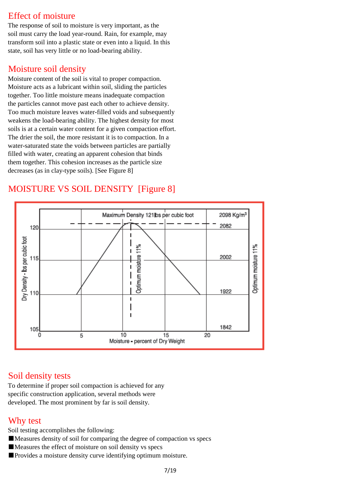#### Effect of moisture

The response of soil to moisture is very important, as the soil must carry the load year-round. Rain, for example, may transform soil into a plastic state or even into a liquid. In this state, soil has very little or no load-bearing ability.

#### Moisture soil density

Moisture content of the soil is vital to proper compaction. Moisture acts as a lubricant within soil, sliding the particles together. Too little moisture means inadequate compaction the particles cannot move past each other to achieve density. Too much moisture leaves water-filled voids and subsequently weakens the load-bearing ability. The highest density for most soils is at a certain water content for a given compaction effort. The drier the soil, the more resistant it is to compaction. In a water-saturated state the voids between particles are partially filled with water, creating an apparent cohesion that binds them together. This cohesion increases as the particle size decreases (as in clay-type soils). [See Figure 8]

# MOISTURE VS SOIL DENSITY [Figure 8]



#### Soil density tests

To determine if proper soil compaction is achieved for any specific construction application, several methods were developed. The most prominent by far is soil density.

#### Why test

Soil testing accomplishes the following:

- ■Measures density of soil for comparing the degree of compaction vs specs
- ■Measures the effect of moisture on soil density vs specs
- ■Provides a moisture density curve identifying optimum moisture.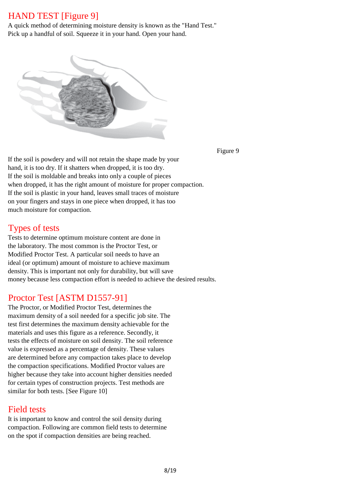#### HAND TEST [Figure 9]

A quick method of determining moisture density is known as the "Hand Test." Pick up a handful of soil. Squeeze it in your hand. Open your hand.



Figure 9

If the soil is powdery and will not retain the shape made by your hand, it is too dry. If it shatters when dropped, it is too dry. If the soil is moldable and breaks into only a couple of pieces when dropped, it has the right amount of moisture for proper compaction. If the soil is plastic in your hand, leaves small traces of moisture on your fingers and stays in one piece when dropped, it has too much moisture for compaction.

#### Types of tests

Tests to determine optimum moisture content are done in the laboratory. The most common is the Proctor Test, or Modified Proctor Test. A particular soil needs to have an ideal (or optimum) amount of moisture to achieve maximum density. This is important not only for durability, but will save money because less compaction effort is needed to achieve the desired results.

#### Proctor Test [ASTM D1557-91]

The Proctor, or Modified Proctor Test, determines the maximum density of a soil needed for a specific job site. The test first determines the maximum density achievable for the materials and uses this figure as a reference. Secondly, it tests the effects of moisture on soil density. The soil reference value is expressed as a percentage of density. These values are determined before any compaction takes place to develop the compaction specifications. Modified Proctor values are higher because they take into account higher densities needed for certain types of construction projects. Test methods are similar for both tests. [See Figure 10]

#### Field tests

It is important to know and control the soil density during compaction. Following are common field tests to determine on the spot if compaction densities are being reached.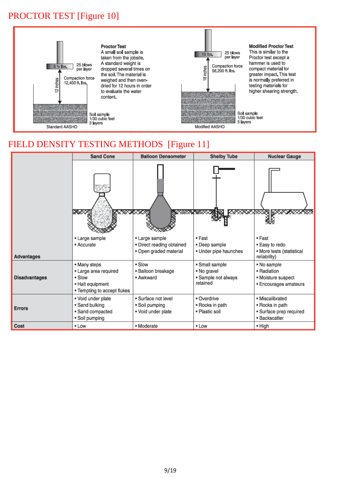# PROCTOR TEST [Figure 10]



# FIELD DENSITY TESTING METHODS [Figure 11]

|                      | <b>Sand Cone</b>                                                                                   | <b>Balloon Densometer</b>                                             | <b>Shelby Tube</b>                                               | <b>Nuclear Gauge</b>                                                           |  |  |
|----------------------|----------------------------------------------------------------------------------------------------|-----------------------------------------------------------------------|------------------------------------------------------------------|--------------------------------------------------------------------------------|--|--|
|                      | ⋙<br>XXXXX                                                                                         | <b>ANTE ANTE</b>                                                      | <b>ANYS</b>                                                      | <u>-</u> parakatang patakatan                                                  |  |  |
| Advantages           | • Large sample<br>• Accurate                                                                       | • Large sample<br>• Direct reading obtained<br>· Open graded material | • Fast<br>• Deep sample<br>• Under pipe haunches                 | $\bullet$ Fast<br>• Easy to redo<br>• More tests (statistical<br>reliability)  |  |  |
| <b>Disadvantages</b> | • Many steps<br>· Large area required<br>• Slow<br>• Halt equipment<br>• Tempting to accept flukes | $\bullet$ Slow<br>· Balloon breakage<br>• Awkward                     | • Small sample<br>• No gravel<br>· Sample not always<br>retained | • No sample<br>• Radiation<br>• Moisture suspect<br>• Encourages amateurs      |  |  |
| <b>Errors</b>        | · Void under plate<br>• Sand bulking<br>· Sand compacted<br>• Soil pumping                         | · Surface not level<br>• Soil pumping<br>· Void under plate           | • Overdrive<br>• Rocks in path<br>• Plastic soil                 | · Miscalibrated<br>• Rocks in path<br>· Surface prep required<br>· Backscatter |  |  |
| Cost                 | $\cdot$ Low                                                                                        | · Moderate                                                            | • Low                                                            | • High                                                                         |  |  |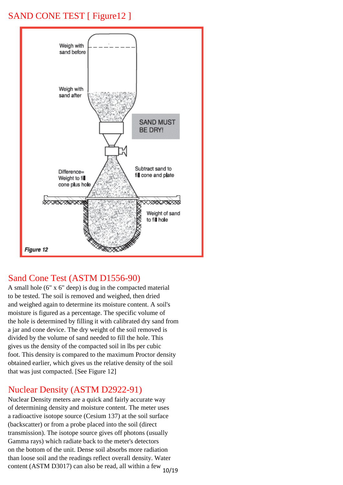### SAND CONE TEST [ Figure 12 ]



#### Sand Cone Test (ASTM D1556-90)

A small hole (6" x 6" deep) is dug in the compacted material to be tested. The soil is removed and weighed, then dried and weighed again to determine its moisture content. A soil's moisture is figured as a percentage. The specific volume of the hole is determined by filling it with calibrated dry sand from a jar and cone device. The dry weight of the soil removed is divided by the volume of sand needed to fill the hole. This gives us the density of the compacted soil in lbs per cubic foot. This density is compared to the maximum Proctor density obtained earlier, which gives us the relative density of the soil that was just compacted. [See Figure 12]

#### Nuclear Density (ASTM D2922-91)

Nuclear Density meters are a quick and fairly accurate way of determining density and moisture content. The meter uses a radioactive isotope source (Cesium 137) at the soil surface (backscatter) or from a probe placed into the soil (direct transmission). The isotope source gives off photons (usually Gamma rays) which radiate back to the meter's detectors on the bottom of the unit. Dense soil absorbs more radiation than loose soil and the readings reflect overall density. Water content (ASTM D3017) can also be read, all within a few  $_{10/19}$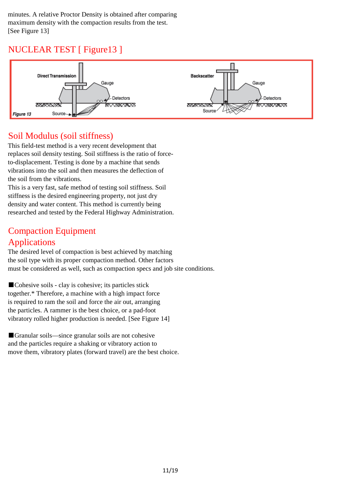minutes. A relative Proctor Density is obtained after comparing maximum density with the compaction results from the test. [See Figure 13]

# NUCLEAR TEST [ Figure13 ]



#### Soil Modulus (soil stiffness)

This field-test method is a very recent development that replaces soil density testing. Soil stiffness is the ratio of forceto-displacement. Testing is done by a machine that sends vibrations into the soil and then measures the deflection of the soil from the vibrations.

This is a very fast, safe method of testing soil stiffness. Soil stiffness is the desired engineering property, not just dry density and water content. This method is currently being researched and tested by the Federal Highway Administration.

# Compaction Equipment

#### Applications

The desired level of compaction is best achieved by matching the soil type with its proper compaction method. Other factors must be considered as well, such as compaction specs and job site conditions.

■Cohesive soils - clay is cohesive; its particles stick together.\* Therefore, a machine with a high impact force is required to ram the soil and force the air out, arranging the particles. A rammer is the best choice, or a pad-foot vibratory rolled higher production is needed. [See Figure 14]

■Granular soils—since granular soils are not cohesive and the particles require a shaking or vibratory action to move them, vibratory plates (forward travel) are the best choice.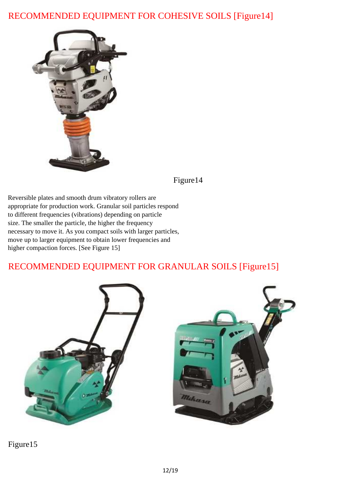# RECOMMENDED EQUIPMENT FOR COHESIVE SOILS [Figure14]



Figure14

Reversible plates and smooth drum vibratory rollers are appropriate for production work. Granular soil particles respond to different frequencies (vibrations) depending on particle size. The smaller the particle, the higher the frequency necessary to move it. As you compact soils with larger particles, move up to larger equipment to obtain lower frequencies and higher compaction forces. [See Figure 15]

# RECOMMENDED EQUIPMENT FOR GRANULAR SOILS [Figure15]





Figure15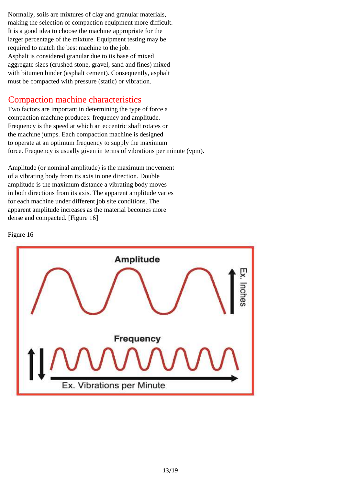Normally, soils are mixtures of clay and granular materials, making the selection of compaction equipment more difficult. It is a good idea to choose the machine appropriate for the larger percentage of the mixture. Equipment testing may be required to match the best machine to the job. Asphalt is considered granular due to its base of mixed aggregate sizes (crushed stone, gravel, sand and fines) mixed with bitumen binder (asphalt cement). Consequently, asphalt must be compacted with pressure (static) or vibration.

#### Compaction machine characteristics

Two factors are important in determining the type of force a compaction machine produces: frequency and amplitude. Frequency is the speed at which an eccentric shaft rotates or the machine jumps. Each compaction machine is designed to operate at an optimum frequency to supply the maximum force. Frequency is usually given in terms of vibrations per minute (vpm).

Amplitude (or nominal amplitude) is the maximum movement of a vibrating body from its axis in one direction. Double amplitude is the maximum distance a vibrating body moves in both directions from its axis. The apparent amplitude varies for each machine under different job site conditions. The apparent amplitude increases as the material becomes more dense and compacted. [Figure 16]



#### Figure 16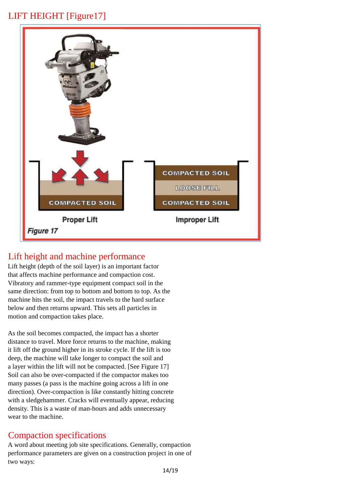# LIFT HEIGHT [Figure17]



# Lift height and machine performance

Lift height (depth of the soil layer) is an important factor that affects machine performance and compaction cost. Vibratory and rammer-type equipment compact soil in the same direction: from top to bottom and bottom to top. As the machine hits the soil, the impact travels to the hard surface below and then returns upward. This sets all particles in motion and compaction takes place.

As the soil becomes compacted, the impact has a shorter distance to travel. More force returns to the machine, making it lift off the ground higher in its stroke cycle. If the lift is too deep, the machine will take longer to compact the soil and a layer within the lift will not be compacted. [See Figure 17] Soil can also be over-compacted if the compactor makes too many passes (a pass is the machine going across a lift in one direction). Over-compaction is like constantly hitting concrete with a sledgehammer. Cracks will eventually appear, reducing density. This is a waste of man-hours and adds unnecessary wear to the machine.

#### Compaction specifications

A word about meeting job site specifications. Generally, compaction performance parameters are given on a construction project in one of two ways: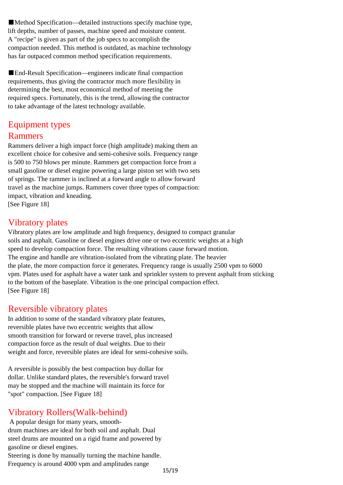■Method Specification—detailed instructions specify machine type, lift depths, number of passes, machine speed and moisture content. A "recipe" is given as part of the job specs to accomplish the compaction needed. This method is outdated, as machine technology has far outpaced common method specification requirements.

■End-Result Specification—engineers indicate final compaction requirements, thus giving the contractor much more flexibility in determining the best, most economical method of meeting the required specs. Fortunately, this is the trend, allowing the contractor to take advantage of the latest technology available.

### Equipment types Rammers

Rammers deliver a high impact force (high amplitude) making them an excellent choice for cohesive and semi-cohesive soils. Frequency range is 500 to 750 blows per minute. Rammers get compaction force from a small gasoline or diesel engine powering a large piston set with two sets of springs. The rammer is inclined at a forward angle to allow forward travel as the machine jumps. Rammers cover three types of compaction: impact, vibration and kneading.

[See Figure 18]

#### Vibratory plates

Vibratory plates are low amplitude and high frequency, designed to compact granular soils and asphalt. Gasoline or diesel engines drive one or two eccentric weights at a high speed to develop compaction force. The resulting vibrations cause forward motion. The engine and handle are vibration-isolated from the vibrating plate. The heavier the plate, the more compaction force it generates. Frequency range is usually 2500 vpm to 6000 vpm. Plates used for asphalt have a water tank and sprinkler system to prevent asphalt from sticking to the bottom of the baseplate. Vibration is the one principal compaction effect. [See Figure 18]

#### Reversible vibratory plates

In addition to some of the standard vibratory plate features, reversible plates have two eccentric weights that allow smooth transition for forward or reverse travel, plus increased compaction force as the result of dual weights. Due to their weight and force, reversible plates are ideal for semi-cohesive soils.

A reversible is possibly the best compaction buy dollar for dollar. Unlike standard plates, the reversible's forward travel may be stopped and the machine will maintain its force for "spot" compaction. [See Figure 18]

# Vibratory Rollers(Walk-behind)

 A popular design for many years, smoothdrum machines are ideal for both soil and asphalt. Dual steel drums are mounted on a rigid frame and powered by gasoline or diesel engines.

Steering is done by manually turning the machine handle. Frequency is around 4000 vpm and amplitudes range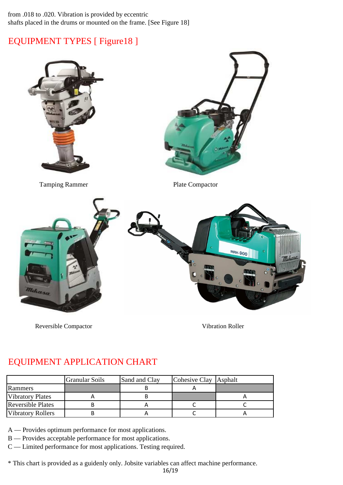#### from .018 to .020. Vibration is provided by eccentric shafts placed in the drums or mounted on the frame. [See Figure 18]

# EQUIPMENT TYPES [ Figure18 ]



Reversible Compactor

Vibration Roller

# EQUIPMENT APPLICATION CHART

|                          | <b>Granular Soils</b> | Sand and Clay | Cohesive Clay Asphalt |  |
|--------------------------|-----------------------|---------------|-----------------------|--|
| Rammers                  |                       |               |                       |  |
| <b>Vibratory Plates</b>  |                       |               |                       |  |
| <b>Reversible Plates</b> |                       |               |                       |  |
| <b>Vibratory Rollers</b> |                       |               |                       |  |

A — Provides optimum performance for most applications.

B — Provides acceptable performance for most applications.

C — Limited performance for most applications. Testing required.

\* This chart is provided as a guidenly only. Jobsite variables can affect machine performance.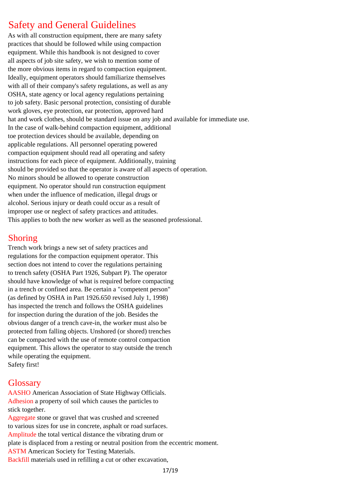# Safety and General Guidelines

As with all construction equipment, there are many safety practices that should be followed while using compaction equipment. While this handbook is not designed to cover all aspects of job site safety, we wish to mention some of the more obvious items in regard to compaction equipment. Ideally, equipment operators should familiarize themselves with all of their company's safety regulations, as well as any OSHA, state agency or local agency regulations pertaining to job safety. Basic personal protection, consisting of durable work gloves, eye protection, ear protection, approved hard hat and work clothes, should be standard issue on any job and available for immediate use. In the case of walk-behind compaction equipment, additional toe protection devices should be available, depending on applicable regulations. All personnel operating powered compaction equipment should read all operating and safety instructions for each piece of equipment. Additionally, training should be provided so that the operator is aware of all aspects of operation. No minors should be allowed to operate construction equipment. No operator should run construction equipment when under the influence of medication, illegal drugs or alcohol. Serious injury or death could occur as a result of improper use or neglect of safety practices and attitudes. This applies to both the new worker as well as the seasoned professional.

#### Shoring

Trench work brings a new set of safety practices and regulations for the compaction equipment operator. This section does not intend to cover the regulations pertaining to trench safety (OSHA Part 1926, Subpart P). The operator should have knowledge of what is required before compacting in a trench or confined area. Be certain a "competent person" (as defined by OSHA in Part 1926.650 revised July 1, 1998) has inspected the trench and follows the OSHA guidelines for inspection during the duration of the job. Besides the obvious danger of a trench cave-in, the worker must also be protected from falling objects. Unshored (or shored) trenches can be compacted with the use of remote control compaction equipment. This allows the operator to stay outside the trench while operating the equipment. Safety first!

#### **Glossary**

AASHO American Association of State Highway Officials. Adhesion a property of soil which causes the particles to stick together.

Aggregate stone or gravel that was crushed and screened to various sizes for use in concrete, asphalt or road surfaces. Amplitude the total vertical distance the vibrating drum or plate is displaced from a resting or neutral position from the eccentric moment. ASTM American Society for Testing Materials. Backfill materials used in refilling a cut or other excavation,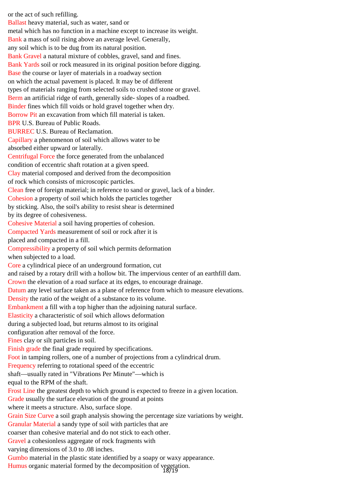or the act of such refilling. Ballast heavy material, such as water, sand or metal which has no function in a machine except to increase its weight. Bank a mass of soil rising above an average level. Generally, any soil which is to be dug from its natural position. Bank Gravel a natural mixture of cobbles, gravel, sand and fines. Bank Yards soil or rock measured in its original position before digging. Base the course or layer of materials in a roadway section on which the actual pavement is placed. It may be of different types of materials ranging from selected soils to crushed stone or gravel. Berm an artificial ridge of earth, generally side- slopes of a roadbed. Binder fines which fill voids or hold gravel together when dry. Borrow Pit an excavation from which fill material is taken. BPR U.S. Bureau of Public Roads. BURREC U.S. Bureau of Reclamation. Capillary a phenomenon of soil which allows water to be absorbed either upward or laterally. Centrifugal Force the force generated from the unbalanced condition of eccentric shaft rotation at a given speed. Clay material composed and derived from the decomposition of rock which consists of microscopic particles. Clean free of foreign material; in reference to sand or gravel, lack of a binder. Cohesion a property of soil which holds the particles together by sticking. Also, the soil's ability to resist shear is determined by its degree of cohesiveness. Cohesive Material a soil having properties of cohesion. Compacted Yards measurement of soil or rock after it is placed and compacted in a fill. Compressibility a property of soil which permits deformation when subjected to a load. Core a cylindrical piece of an underground formation, cut and raised by a rotary drill with a hollow bit. The impervious center of an earthfill dam. Crown the elevation of a road surface at its edges, to encourage drainage. Datum any level surface taken as a plane of reference from which to measure elevations. Density the ratio of the weight of a substance to its volume. Embankment a fill with a top higher than the adjoining natural surface. Elasticity a characteristic of soil which allows deformation during a subjected load, but returns almost to its original configuration after removal of the force. Fines clay or silt particles in soil. Finish grade the final grade required by specifications. Foot in tamping rollers, one of a number of projections from a cylindrical drum. Frequency referring to rotational speed of the eccentric shaft—usually rated in "Vibrations Per Minute"—which is equal to the RPM of the shaft. Frost Line the greatest depth to which ground is expected to freeze in a given location. Grade usually the surface elevation of the ground at points where it meets a structure. Also, surface slope. Grain Size Curve a soil graph analysis showing the percentage size variations by weight. Granular Material a sandy type of soil with particles that are coarser than cohesive material and do not stick to each other. Gravel a cohesionless aggregate of rock fragments with varying dimensions of 3.0 to .08 inches. Gumbo material in the plastic state identified by a soapy or waxy appearance.

Humus organic material formed by the decomposition of vegetation.